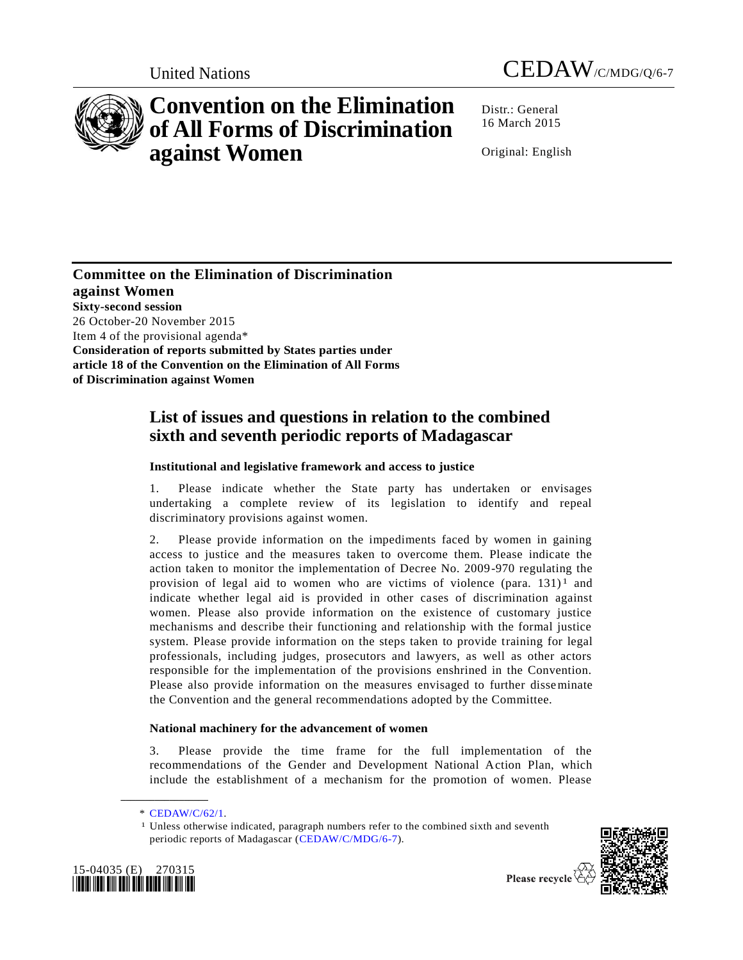



# **Convention on the Elimination of All Forms of Discrimination against Women**

Distr.: General 16 March 2015

Original: English

**Committee on the Elimination of Discrimination against Women Sixty-second session** 26 October-20 November 2015 Item 4 of the provisional agenda\* **Consideration of reports submitted by States parties under article 18 of the Convention on the Elimination of All Forms of Discrimination against Women**

# **List of issues and questions in relation to the combined sixth and seventh periodic reports of Madagascar**

# **Institutional and legislative framework and access to justice**

1. Please indicate whether the State party has undertaken or envisages undertaking a complete review of its legislation to identify and repeal discriminatory provisions against women.

2. Please provide information on the impediments faced by women in gaining access to justice and the measures taken to overcome them. Please indicate the action taken to monitor the implementation of Decree No. 2009-970 regulating the provision of legal aid to women who are victims of violence (para.  $131$ )<sup>1</sup> and indicate whether legal aid is provided in other cases of discrimination against women. Please also provide information on the existence of customary justice mechanisms and describe their functioning and relationship with the formal justice system. Please provide information on the steps taken to provide training for legal professionals, including judges, prosecutors and lawyers, as well as other actors responsible for the implementation of the provisions enshrined in the Convention. Please also provide information on the measures envisaged to further disseminate the Convention and the general recommendations adopted by the Committee.

# **National machinery for the advancement of women**

3. Please provide the time frame for the full implementation of the recommendations of the Gender and Development National Action Plan, which include the establishment of a mechanism for the promotion of women. Please

**\_\_\_\_\_\_\_\_\_\_\_\_\_\_\_\_\_\_**

<sup>&</sup>lt;sup>1</sup> Unless otherwise indicated, paragraph numbers refer to the combined sixth and seventh periodic reports of Madagascar [\(CEDAW/C/MDG/6-7\)](http://undocs.org/CEDAW/C/MDG/6).





Please recycle  $\Diamond$ 

<sup>\*</sup> [CEDAW/C/62/1.](http://undocs.org/CEDAW/C/62/1)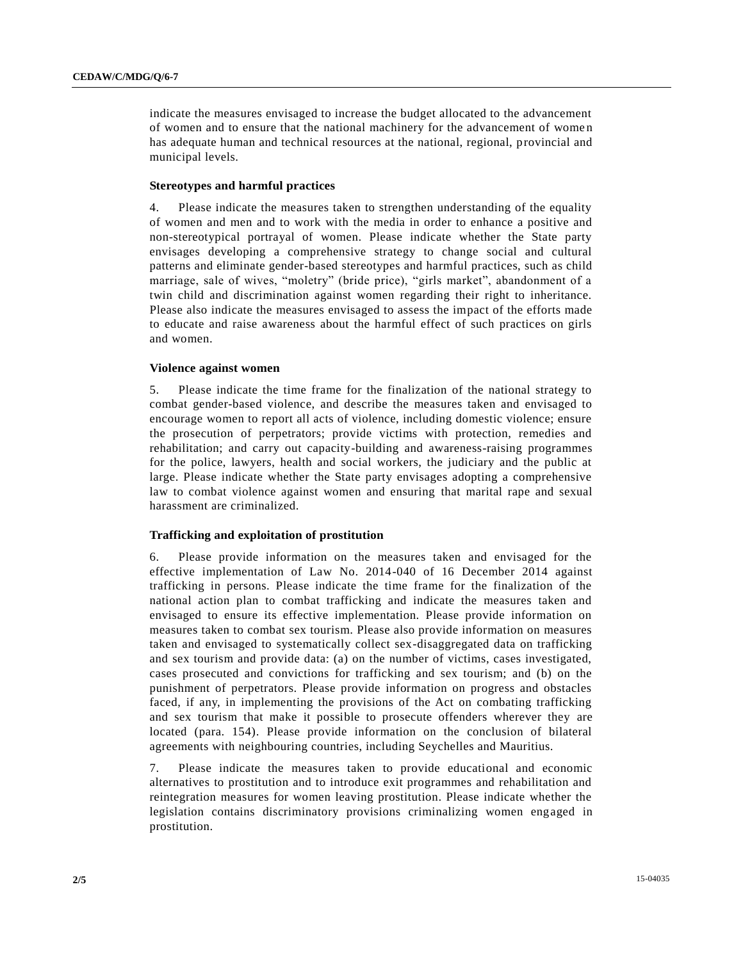indicate the measures envisaged to increase the budget allocated to the advancement of women and to ensure that the national machinery for the advancement of wome n has adequate human and technical resources at the national, regional, provincial and municipal levels.

### **Stereotypes and harmful practices**

4. Please indicate the measures taken to strengthen understanding of the equality of women and men and to work with the media in order to enhance a positive and non-stereotypical portrayal of women. Please indicate whether the State party envisages developing a comprehensive strategy to change social and cultural patterns and eliminate gender-based stereotypes and harmful practices, such as child marriage, sale of wives, "moletry" (bride price), "girls market", abandonment of a twin child and discrimination against women regarding their right to inheritance. Please also indicate the measures envisaged to assess the impact of the efforts made to educate and raise awareness about the harmful effect of such practices on girls and women.

#### **Violence against women**

5. Please indicate the time frame for the finalization of the national strategy to combat gender-based violence, and describe the measures taken and envisaged to encourage women to report all acts of violence, including domestic violence; ensure the prosecution of perpetrators; provide victims with protection, remedies and rehabilitation; and carry out capacity-building and awareness-raising programmes for the police, lawyers, health and social workers, the judiciary and the public at large. Please indicate whether the State party envisages adopting a comprehensive law to combat violence against women and ensuring that marital rape and sexual harassment are criminalized.

#### **Trafficking and exploitation of prostitution**

6. Please provide information on the measures taken and envisaged for the effective implementation of Law No. 2014-040 of 16 December 2014 against trafficking in persons. Please indicate the time frame for the finalization of the national action plan to combat trafficking and indicate the measures taken and envisaged to ensure its effective implementation. Please provide information on measures taken to combat sex tourism. Please also provide information on measures taken and envisaged to systematically collect sex-disaggregated data on trafficking and sex tourism and provide data: (a) on the number of victims, cases investigated, cases prosecuted and convictions for trafficking and sex tourism; and (b) on the punishment of perpetrators. Please provide information on progress and obstacles faced, if any, in implementing the provisions of the Act on combating trafficking and sex tourism that make it possible to prosecute offenders wherever they are located (para. 154). Please provide information on the conclusion of bilateral agreements with neighbouring countries, including Seychelles and Mauritius.

7. Please indicate the measures taken to provide educational and economic alternatives to prostitution and to introduce exit programmes and rehabilitation and reintegration measures for women leaving prostitution. Please indicate whether the legislation contains discriminatory provisions criminalizing women engaged in prostitution.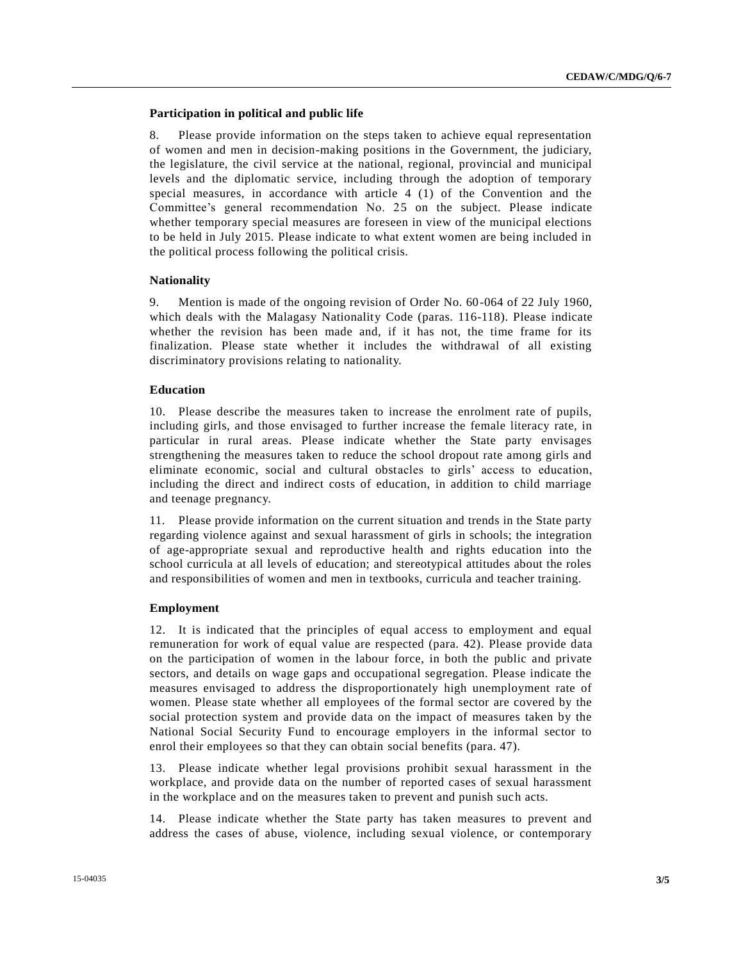## **Participation in political and public life**

8. Please provide information on the steps taken to achieve equal representation of women and men in decision-making positions in the Government, the judiciary, the legislature, the civil service at the national, regional, provincial and municipal levels and the diplomatic service, including through the adoption of temporary special measures, in accordance with article 4 (1) of the Convention and the Committee's general recommendation No. 25 on the subject. Please indicate whether temporary special measures are foreseen in view of the municipal elections to be held in July 2015. Please indicate to what extent women are being included in the political process following the political crisis.

#### **Nationality**

9. Mention is made of the ongoing revision of Order No. 60-064 of 22 July 1960, which deals with the Malagasy Nationality Code (paras. 116-118). Please indicate whether the revision has been made and, if it has not, the time frame for its finalization. Please state whether it includes the withdrawal of all existing discriminatory provisions relating to nationality.

#### **Education**

10. Please describe the measures taken to increase the enrolment rate of pupils, including girls, and those envisaged to further increase the female literacy rate, in particular in rural areas. Please indicate whether the State party envisages strengthening the measures taken to reduce the school dropout rate among girls and eliminate economic, social and cultural obstacles to girls' access to education, including the direct and indirect costs of education, in addition to child marriage and teenage pregnancy.

11. Please provide information on the current situation and trends in the State party regarding violence against and sexual harassment of girls in schools; the integration of age-appropriate sexual and reproductive health and rights education into the school curricula at all levels of education; and stereotypical attitudes about the roles and responsibilities of women and men in textbooks, curricula and teacher training.

#### **Employment**

12. It is indicated that the principles of equal access to employment and equal remuneration for work of equal value are respected (para. 42). Please provide data on the participation of women in the labour force, in both the public and private sectors, and details on wage gaps and occupational segregation. Please indicate the measures envisaged to address the disproportionately high unemployment rate of women. Please state whether all employees of the formal sector are covered by the social protection system and provide data on the impact of measures taken by the National Social Security Fund to encourage employers in the informal sector to enrol their employees so that they can obtain social benefits (para. 47).

13. Please indicate whether legal provisions prohibit sexual harassment in the workplace, and provide data on the number of reported cases of sexual harassment in the workplace and on the measures taken to prevent and punish such acts.

14. Please indicate whether the State party has taken measures to prevent and address the cases of abuse, violence, including sexual violence, or contemporary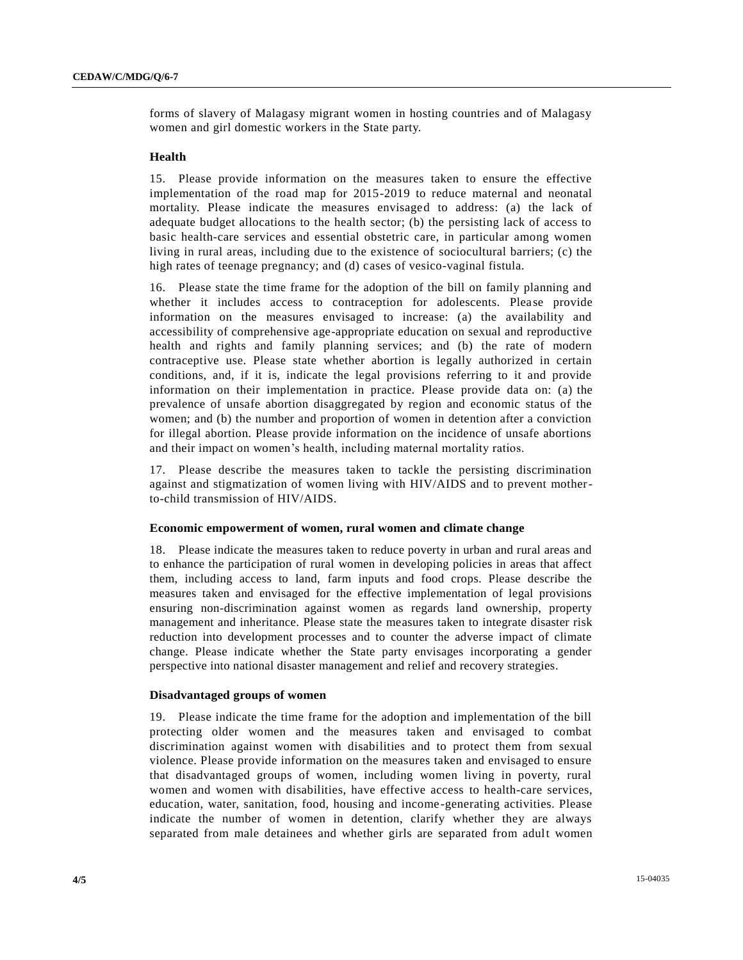forms of slavery of Malagasy migrant women in hosting countries and of Malagasy women and girl domestic workers in the State party.

#### **Health**

15. Please provide information on the measures taken to ensure the effective implementation of the road map for 2015-2019 to reduce maternal and neonatal mortality. Please indicate the measures envisaged to address: (a) the lack of adequate budget allocations to the health sector; (b) the persisting lack of access to basic health-care services and essential obstetric care, in particular among women living in rural areas, including due to the existence of sociocultural barriers; (c) the high rates of teenage pregnancy; and (d) cases of vesico-vaginal fistula.

16. Please state the time frame for the adoption of the bill on family planning and whether it includes access to contraception for adolescents. Please provide information on the measures envisaged to increase: (a) the availability and accessibility of comprehensive age-appropriate education on sexual and reproductive health and rights and family planning services; and (b) the rate of modern contraceptive use. Please state whether abortion is legally authorized in certain conditions, and, if it is, indicate the legal provisions referring to it and provide information on their implementation in practice. Please provide data on: (a) the prevalence of unsafe abortion disaggregated by region and economic status of the women; and (b) the number and proportion of women in detention after a conviction for illegal abortion. Please provide information on the incidence of unsafe abortions and their impact on women's health, including maternal mortality ratios.

17. Please describe the measures taken to tackle the persisting discrimination against and stigmatization of women living with HIV/AIDS and to prevent motherto-child transmission of HIV/AIDS.

#### **Economic empowerment of women, rural women and climate change**

18. Please indicate the measures taken to reduce poverty in urban and rural areas and to enhance the participation of rural women in developing policies in areas that affect them, including access to land, farm inputs and food crops. Please describe the measures taken and envisaged for the effective implementation of legal provisions ensuring non-discrimination against women as regards land ownership, property management and inheritance. Please state the measures taken to integrate disaster risk reduction into development processes and to counter the adverse impact of climate change. Please indicate whether the State party envisages incorporating a gender perspective into national disaster management and relief and recovery strategies.

#### **Disadvantaged groups of women**

19. Please indicate the time frame for the adoption and implementation of the bill protecting older women and the measures taken and envisaged to combat discrimination against women with disabilities and to protect them from sexual violence. Please provide information on the measures taken and envisaged to ensure that disadvantaged groups of women, including women living in poverty, rural women and women with disabilities, have effective access to health-care services, education, water, sanitation, food, housing and income -generating activities. Please indicate the number of women in detention, clarify whether they are always separated from male detainees and whether girls are separated from adult women